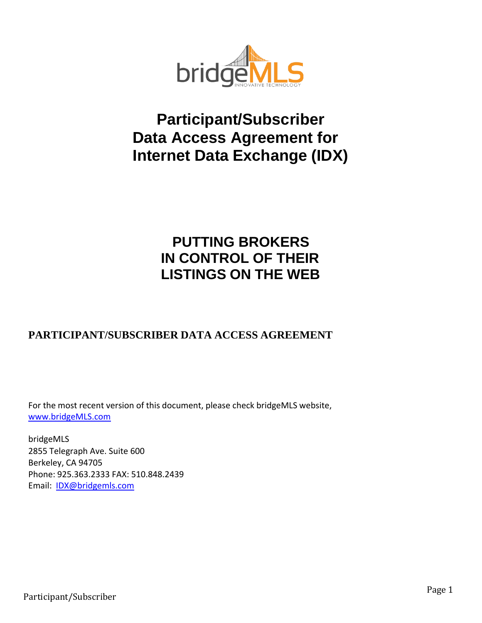

# **Participant/Subscriber Data Access Agreement for Internet Data Exchange (IDX)**

## **PUTTING BROKERS IN CONTROL OF THEIR LISTINGS ON THE WEB**

### **PARTICIPANT/SUBSCRIBER DATA ACCESS AGREEMENT**

For the most recent version of this document, please check bridgeMLS website, [www.bridgeMLS.com](http://www.bridgemls.com/)

bridgeMLS 2855 Telegraph Ave. Suite 600 Berkeley, CA 94705 Phone: [925.363.2333](mailto:ebrd@ebrdmls.com) FAX: 510.848.2439 Email: [IDX@bridgemls.com](mailto:IDX@bridgemls.com)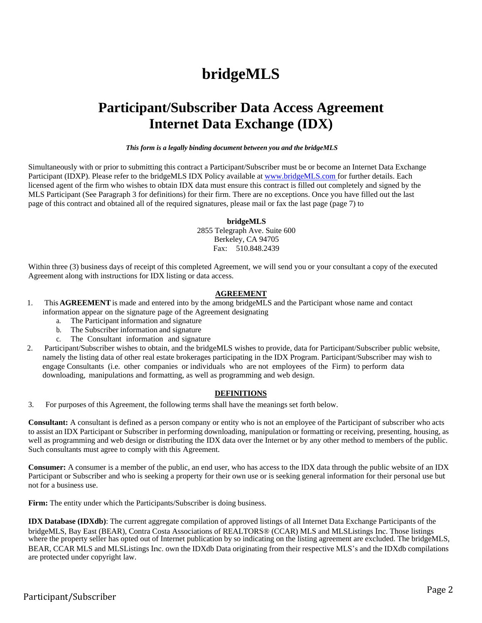# **bridgeMLS**

## **Participant/Subscriber Data Access Agreement Internet Data Exchange (IDX)**

*This form is a legally binding document between you and the bridgeMLS*

Simultaneously with or prior to submitting this contract a Participant/Subscriber must be or become an Internet Data Exchange Participant (IDXP). Please refer to the bridgeMLS IDX Policy available at [www.bridgeMLS.com for f](http://www.bridgemls.comfor/)urther details. Each licensed agent of the firm who wishes to obtain IDX data must ensure this contract is filled out completely and signed by the MLS Participant (See Paragraph 3 for definitions) for their firm. There are no exceptions. Once you have filled out the last page of this contract and obtained all of the required signatures, please mail or fax the last page (page 7) to

#### **bridgeMLS**

2855 Telegraph Ave. Suite 600 Berkeley, CA 94705 Fax: 510.848.2439

Within three (3) business days of receipt of this completed Agreement, we will send you or your consultant a copy of the executed Agreement along with instructions for IDX listing or data access.

#### **AGREEMENT**

- 1. This **AGREEMENT**is made and entered into by the among bridgeMLS and the Participant whose name and contact information appear on the signature page of the Agreement designating
	- a. The Participant information and signature
	- b. The Subscriber information and signature
	- c. The Consultant information and signature
- 2. Participant/Subscriber wishes to obtain, and the bridgeMLS wishes to provide, data for Participant/Subscriber public website, namely the listing data of other real estate brokerages participating in the IDX Program. Participant/Subscriber may wish to engage Consultants (i.e. other companies or individuals who are not employees of the Firm) to perform data downloading, manipulations and formatting, as well as programming and web design.

#### **DEFINITIONS**

3. For purposes of this Agreement, the following terms shall have the meanings set forth below.

**Consultant:** A consultant is defined as a person company or entity who is not an employee of the Participant of subscriber who acts to assist an IDX Participant or Subscriber in performing downloading, manipulation or formatting or receiving, presenting, housing, as well as programming and web design or distributing the IDX data over the Internet or by any other method to members of the public. Such consultants must agree to comply with this Agreement.

**Consumer:** A consumer is a member of the public, an end user, who has access to the IDX data through the public website of an IDX Participant or Subscriber and who is seeking a property for their own use or is seeking general information for their personal use but not for a business use.

**Firm:** The entity under which the Participants/Subscriber is doing business.

**IDX Database (IDXdb)**: The current aggregate compilation of approved listings of all Internet Data Exchange Participants of the bridgeMLS, Bay East (BEAR), Contra Costa Associations of REALTORS® (CCAR) MLS and MLSListings Inc. Those listings where the property seller has opted out of Internet publication by so indicating on the listing agreement are excluded. The bridgeMLS, BEAR, CCAR MLS and MLSListings Inc. own the IDXdb Data originating from their respective MLS's and the IDXdb compilations are protected under copyright law.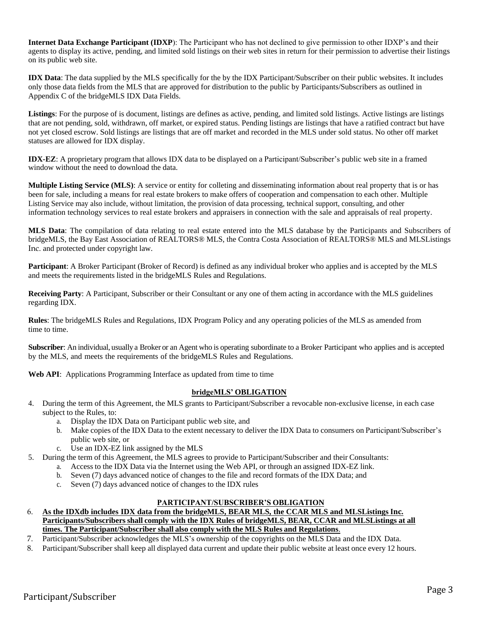**Internet Data Exchange Participant (IDXP**): The Participant who has not declined to give permission to other IDXP's and their agents to display its active, pending, and limited sold listings on their web sites in return for their permission to advertise their listings on its public web site.

**IDX Data**: The data supplied by the MLS specifically for the by the IDX Participant/Subscriber on their public websites. It includes only those data fields from the MLS that are approved for distribution to the public by Participants/Subscribers as outlined in Appendix C of the bridgeMLS IDX Data Fields.

**Listings**: For the purpose of is document, listings are defines as active, pending, and limited sold listings. Active listings are listings that are not pending, sold, withdrawn, off market, or expired status. Pending listings are listings that have a ratified contract but have not yet closed escrow. Sold listings are listings that are off market and recorded in the MLS under sold status. No other off market statuses are allowed for IDX display.

**IDX-EZ**: A proprietary program that allows IDX data to be displayed on a Participant/Subscriber's public web site in a framed window without the need to download the data.

**Multiple Listing Service (MLS)**: A service or entity for colleting and disseminating information about real property that is or has been for sale, including a means for real estate brokers to make offers of cooperation and compensation to each other. Multiple Listing Service may also include, without limitation, the provision of data processing, technical support, consulting, and other information technology services to real estate brokers and appraisers in connection with the sale and appraisals of real property.

**MLS Data**: The compilation of data relating to real estate entered into the MLS database by the Participants and Subscribers of bridgeMLS, the Bay East Association of REALTORS® MLS, the Contra Costa Association of REALTORS® MLS and MLSListings Inc. and protected under copyright law.

**Participant**: A Broker Participant (Broker of Record) is defined as any individual broker who applies and is accepted by the MLS and meets the requirements listed in the bridgeMLS Rules and Regulations.

**Receiving Party**: A Participant, Subscriber or their Consultant or any one of them acting in accordance with the MLS guidelines regarding IDX.

**Rules**: The bridgeMLS Rules and Regulations, IDX Program Policy and any operating policies of the MLS as amended from time to time.

**Subscriber**: An individual, usuallya Broker or an Agent who is operating subordinate to a Broker Participant who applies and is accepted by the MLS, and meets the requirements of the bridgeMLS Rules and Regulations.

**Web API**: Applications Programming Interface as updated from time to time

#### **bridgeMLS' OBLIGATION**

- 4. During the term of this Agreement, the MLS grants to Participant/Subscriber a revocable non-exclusive license, in each case subject to the Rules, to:
	- a. Display the IDX Data on Participant public web site, and
	- b. Make copies of the IDX Data to the extent necessary to deliver the IDX Data to consumers on Participant/Subscriber's public web site, or
	- c. Use an IDX-EZ link assigned by the MLS
- 5. During the term of this Agreement, the MLS agrees to provide to Participant/Subscriber and their Consultants:
	- a. Access to the IDX Data via the Internet using the Web API, or through an assigned IDX-EZ link.
	- b. Seven (7) days advanced notice of changes to the file and record formats of the IDX Data; and
	- c. Seven (7) days advanced notice of changes to the IDX rules

#### **PARTICIPANT/SUBSCRIBER'S OBLIGATION**

- 6. **As the IDXdb includes IDX data from the bridgeMLS, BEAR MLS, the CCAR MLS and MLSListings Inc. Participants/Subscribers shall comply with the IDX Rules of bridgeMLS, BEAR, CCAR and MLSListings at all times. The Participant/Subscriber shall also comply with the MLS Rules and Regulations**.
- 7. Participant/Subscriber acknowledges the MLS's ownership of the copyrights on the MLS Data and the IDX Data.
- 8. Participant/Subscriber shall keep all displayed data current and update their public website at least once every 12 hours.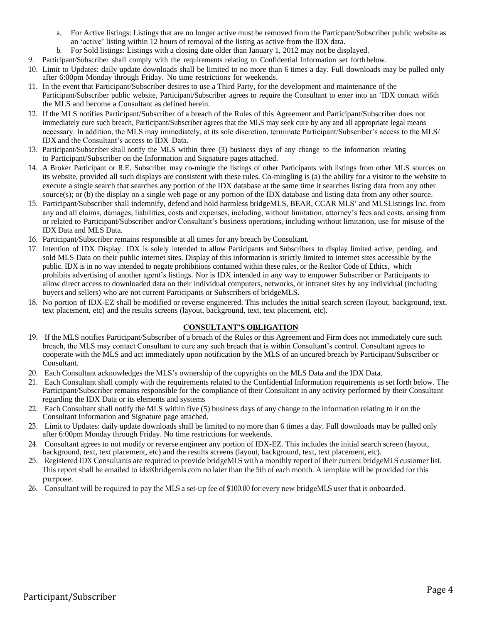- a. For Active listings: Listings that are no longer active must be removed from the Particpant/Subscriber public website as an 'active' listing within 12 hours of removal of the listing as active from the IDX data.
- b. For Sold listings: Listings with a closing date older than January 1, 2012 may not be displayed.
- 9. Participant/Subscriber shall comply with the requirements relating to Confidential Information set forth below.
- 10. Limit to Updates: daily update downloads shall be limited to no more than 6 times a day. Full downloads may be pulled only after 6:00pm Monday through Friday. No time restrictions for weekends.
- 11. In the event that Participant/Subscriber desires to use a Third Party, for the development and maintenance of the Participant/Subscriber public website, Participant/Subscriber agrees to require the Consultant to enter into an 'IDX contact wi6th the MLS and become a Consultant as defined herein.
- 12. If the MLS notifies Participant/Subscriber of a breach of the Rules of this Agreement and Participant/Subscriber does not immediately cure such breach, Participant/Subscriber agrees that the MLS may seek cure by any and all appropriate legal means necessary. In addition, the MLS may immediately, at its sole discretion, terminate Participant/Subscriber's access to the MLS/ IDX and the Consultant's access to IDX Data.
- 13. Participant/Subscriber shall notify the MLS within three (3) business days of any change to the information relating to Participant/Subscriber on the Information and Signature pages attached.
- 14. A Broker Participant or R.E. Subscriber may co-mingle the listings of other Participants with listings from other MLS sources on its website, provided all such displays are consistent with these rules. Co-mingling is (a) the ability for a visitor to the website to execute a single search that searches any portion of the IDX database at the same time it searches listing data from any other source(s); or (b) the display on a single web page or any portion of the IDX database and listing data from any other source.
- 15. Participant/Subscriber shall indemnify, defend and hold harmless bridgeMLS, BEAR, CCAR MLS' and MLSListings Inc. from any and all claims, damages, liabilities, costs and expenses, including, without limitation, attorney's fees and costs, arising from or related to Participant/Subscriber and/or Consultant's business operations, including without limitation, use for misuse of the IDX Data and MLS Data.
- 16. Participant/Subscriber remains responsible at all times for any breach by Consultant.
- 17. Intention of IDX Display. IDX is solely intended to allow Participants and Subscribers to display limited active, pending, and sold MLS Data on their public internet sites. Display of this information is strictly limited to internet sites accessible by the public. IDX is in no way intended to negate prohibitions contained within these rules, or the Realtor Code of Ethics, which prohibits advertising of another agent's listings. Nor is IDX intended in any way to empower Subscriber or Participants to allow direct access to downloaded data on their individual computers, networks, or intranet sites by any individual (including buyers and sellers) who are not current Participants or Subscribers of bridgeMLS.
- 18. No portion of IDX-EZ shall be modified or reverse engineered. This includes the initial search screen (layout, background, text, text placement, etc) and the results screens (layout, background, text, text placement, etc).

#### **CONSULTANT'S OBLIGATION**

- 19. If the MLS notifies Participant/Subscriber of a breach of the Rules or this Agreement and Firm does not immediately cure such breach, the MLS may contact Consultant to cure any such breach that is within Consultant's control. Consultant agrees to cooperate with the MLS and act immediately upon notification by the MLS of an uncured breach by Participant/Subscriber or Consultant.
- 20. Each Consultant acknowledges the MLS's ownership of the copyrights on the MLS Data and the IDX Data.
- 21. Each Consultant shall comply with the requirements related to the Confidential Information requirements as set forth below. The Participant/Subscriber remains responsible for the compliance of their Consultant in any activity performed by their Consultant regarding the IDX Data or its elements and systems
- 22. Each Consultant shall notify the MLS within five (5) business days of any change to the information relating to it on the Consultant Information and Signature page attached.
- 23. Limit to Updates: daily update downloads shall be limited to no more than 6 times a day. Full downloads may be pulled only after 6:00pm Monday through Friday. No time restrictions for weekends.
- 24. Consultant agrees to not modify or reverse engineer any portion of IDX-EZ. This includes the initial search screen (layout, background, text, text placement, etc) and the results screens (layout, background, text, text placement, etc).
- 25. Registered IDX Consultants are required to provide bridgeMLS with a monthly report of their current bridgeMLS customer list. This report shall be emailed to [idx@bridgemls.com n](mailto:idx@bridgemls.com)o later than the 5th of each month. A template will be provided for this purpose.
- 26. Consultant will be required to pay the MLS a set-up fee of \$100.00 for every new bridgeMLS user that is onboarded.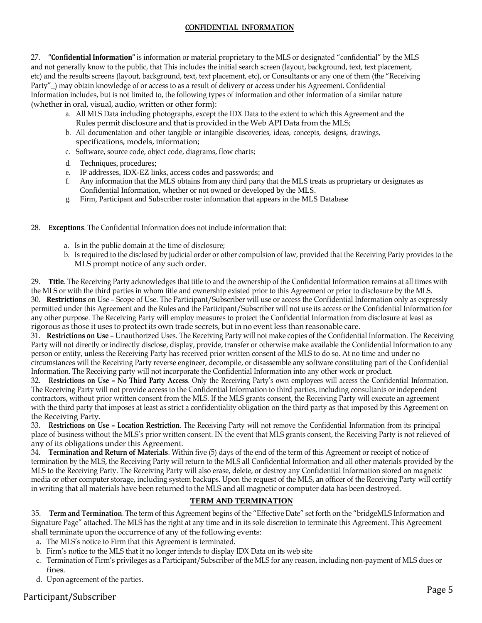#### **CONFIDENTIAL INFORMATION**

27. **"Confidential Information"** is information or material proprietary to the MLS or designated "confidential" by the MLS and not generally know to the public, that This includes the initial search screen (layout, background, text, text placement, etc) and the results screens (layout, background, text, text placement, etc), or Consultants or any one of them (the "Receiving Party"\_) may obtain knowledge of or access to as a result of delivery or access under his Agreement. Confidential Information includes, but is not limited to, the following types of information and other information of a similar nature (whether in oral, visual, audio, written or other form):

- a. All MLS Data including photographs, except the IDX Data to the extent to which this Agreement and the Rules permit disclosure and that is provided in the Web API Data from the MLS;
- b. All documentation and other tangible or intangible discoveries, ideas, concepts, designs, drawings, specifications, models, information;
- c. Software, source code, object code, diagrams, flow charts;
- d. Techniques, procedures;
- e. IP addresses, IDX-EZ links, access codes and passwords; and
- f. Any information that the MLS obtains from any third party that the MLS treats as proprietary or designates as Confidential Information, whether or not owned or developed by the MLS.
- g. Firm, Participant and Subscriber roster information that appears in the MLS Database
- 28. **Exceptions**. The Confidential Information does not include information that:
	- a. Is in the public domain at the time of disclosure;
	- b. Is required to the disclosed by judicial order or other compulsion of law, provided that the Receiving Party provides to the MLS prompt notice of any such order.

29. **Title**. The Receiving Party acknowledges that title to and the ownership of the Confidential Information remains at all times with the MLS or with the third parties in whom title and ownership existed prior to this Agreement or prior to disclosure by the MLS. 30. **Restrictions** on Use – Scope of Use. The Participant/Subscriber will use or access the Confidential Information only as expressly permitted under this Agreement and the Rules and the Participant/Subscriber will not use its access or the Confidential Information for any other purpose. The Receiving Party will employ measures to protect the Confidential Information from disclosure at least as rigorous as those it uses to protect its own trade secrets, but in no event less than reasonable care.

31. **Restrictions on Use** – Unauthorized Uses. The Receiving Party will not make copies of the Confidential Information. The Receiving Party will not directly or indirectly disclose, display, provide, transfer or otherwise make available the Confidential Information to any person or entity, unless the Receiving Party has received prior written consent of the MLS to do so. At no time and under no circumstances will the Receiving Party reverse engineer, decompile, or disassemble any software constituting part of the Confidential Information. The Receiving party will not incorporate the Confidential Information into any other work or product.

32. **Restrictions on Use – No Third Party Access**. Only the Receiving Party's own employees will access the Confidential Information. The Receiving Party will not provide access to the Confidential Information to third parties, including consultants or independent contractors, without prior written consent from the MLS. If the MLS grants consent, the Receiving Party will execute an agreement with the third party that imposes at least as strict a confidentiality obligation on the third party as that imposed by this Agreement on the Receiving Party.

33. **Restrictions on Use – Location Restriction**. The Receiving Party will not remove the Confidential Information from its principal place of business without the MLS's prior written consent. IN the event that MLS grants consent, the Receiving Party is not relieved of any of its obligations under this Agreement.

34. **Termination and Return of Materials**. Within five (5) days of the end of the term of this Agreement or receipt of notice of termination by the MLS, the Receiving Party will return to the MLS all Confidential Information and all other materials provided by the MLS to the Receiving Party. The Receiving Party will also erase, delete, or destroy any Confidential Information stored on magnetic media or other computer storage, including system backups. Upon the request of the MLS, an officer of the Receiving Party will certify in writing that all materials have been returned to the MLS and all magnetic or computer data has been destroyed.

#### **TERM AND TERMINATION**

35. **Term and Termination**. The term of this Agreement begins of the "Effective Date" set forth on the "bridgeMLS Information and Signature Page" attached. The MLS has the right at any time and in its sole discretion to terminate this Agreement. This Agreement shall terminate upon the occurrence of any of the following events:

- a. The MLS's notice to Firm that this Agreement is terminated.
- b. Firm's notice to the MLS that it no longer intends to display IDX Data on its web site
- c. Termination of Firm's privileges as a Participant/Subscriber of the MLS for any reason, including non-payment of MLS dues or fines.
- d. Upon agreement of the parties.

### Participant/Subscriber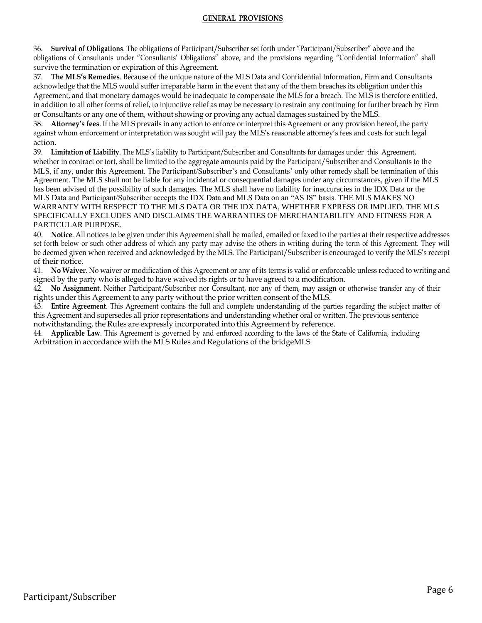#### **GENERAL PROVISIONS**

36. **Survival of Obligations**. The obligations of Participant/Subscriber set forth under "Participant/Subscriber" above and the obligations of Consultants under "Consultants' Obligations" above, and the provisions regarding "Confidential Information" shall survive the termination or expiration of this Agreement.

37. **The MLS's Remedies**. Because of the unique nature of the MLS Data and Confidential Information, Firm and Consultants acknowledge that the MLS would suffer irreparable harm in the event that any of the them breaches its obligation under this Agreement, and that monetary damages would be inadequate to compensate the MLS for a breach. The MLS is therefore entitled, in addition to all other forms of relief, to injunctive relief as may be necessary to restrain any continuing for further breach by Firm or Consultants or any one of them, without showing or proving any actual damages sustained by the MLS.

38. **Attorney's fees**. If the MLS prevails in any action to enforce or interpret this Agreement or any provision hereof, the party against whom enforcement or interpretation was sought will pay the MLS's reasonable attorney's fees and costs for such legal action.

39. **Limitation of Liability**. The MLS's liability to Participant/Subscriber and Consultants for damages under this Agreement, whether in contract or tort, shall be limited to the aggregate amounts paid by the Participant/Subscriber and Consultants to the MLS, if any, under this Agreement. The Participant/Subscriber's and Consultants' only other remedy shall be termination of this Agreement. The MLS shall not be liable for any incidental or consequential damages under any circumstances, given if the MLS has been advised of the possibility of such damages. The MLS shall have no liability for inaccuracies in the IDX Data or the MLS Data and Participant/Subscriber accepts the IDX Data and MLS Data on an "AS IS" basis. THE MLS MAKES NO WARRANTY WITH RESPECT TO THE MLS DATA OR THE IDX DATA, WHETHER EXPRESS OR IMPLIED. THE MLS SPECIFICALLY EXCLUDES AND DISCLAIMS THE WARRANTIES OF MERCHANTABILITY AND FITNESS FOR A PARTICULAR PURPOSE.

40. **Notice**. All notices to be given under this Agreement shall be mailed, emailed or faxed to the parties at their respective addresses set forth below or such other address of which any party may advise the others in writing during the term of this Agreement. They will be deemed given when received and acknowledged by the MLS. The Participant/Subscriber is encouraged to verify the MLS's receipt of their notice.

41. **No Waiver**. No waiver or modification of this Agreement or any of its terms is valid or enforceable unless reduced to writing and signed by the party who is alleged to have waived its rights or to have agreed to a modification.

42. **No Assignment**. Neither Participant/Subscriber nor Consultant, nor any of them, may assign or otherwise transfer any of their rights under this Agreement to any party without the prior written consent of the MLS.

43. **Entire Agreement**. This Agreement contains the full and complete understanding of the parties regarding the subject matter of this Agreement and supersedes all prior representations and understanding whether oral or written. The previous sentence notwithstanding, the Rules are expressly incorporated into this Agreement by reference.

44. **Applicable Law**. This Agreement is governed by and enforced according to the laws of the State of California, including Arbitration in accordance with the MLS Rules and Regulations of the bridgeMLS